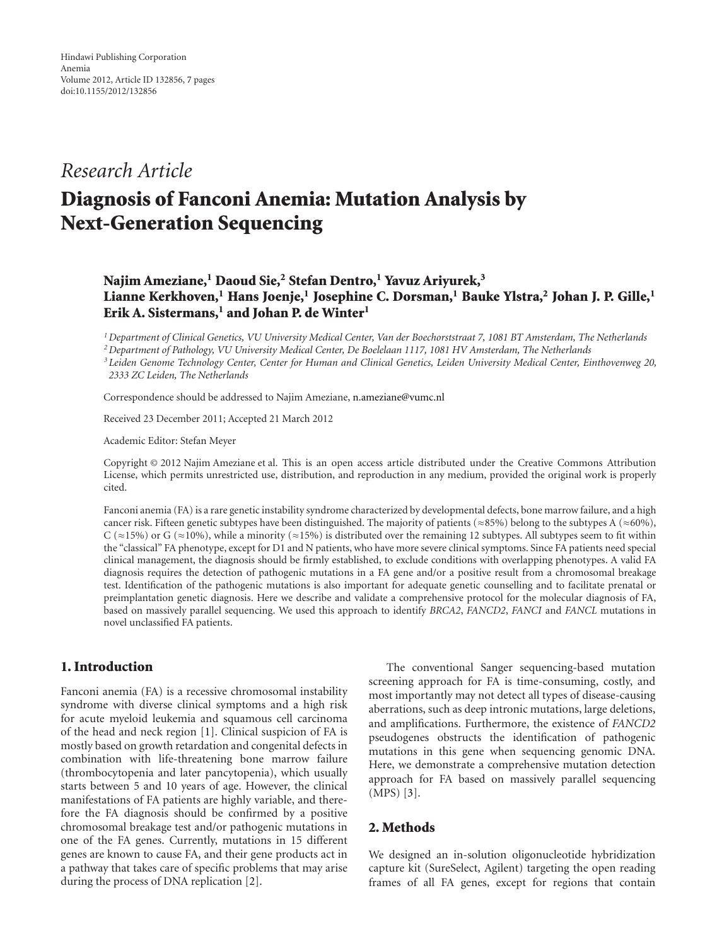## *Research Article*

# **Diagnosis of Fanconi Anemia: Mutation Analysis by Next-Generation Sequencing**

## **Najim Ameziane,1 Daoud Sie,2 Stefan Dentro,1 Yavuz Ariyurek,3 Lianne Kerkhoven,1 Hans Joenje,1 Josephine C. Dorsman,1 Bauke Ylstra,2 Johan J. P. Gille,1 Erik A. Sistermans,1 and Johan P. de Winter1**

*1Department of Clinical Genetics, VU University Medical Center, Van der Boechorststraat 7, 1081 BT Amsterdam, The Netherlands 2Department of Pathology, VU University Medical Center, De Boelelaan 1117, 1081 HV Amsterdam, The Netherlands <sup>3</sup> Leiden Genome Technology Center, Center for Human and Clinical Genetics, Leiden University Medical Center, Einthovenweg 20, 2333 ZC Leiden, The Netherlands*

Correspondence should be addressed to Najim Ameziane, [n.ameziane@vumc.nl](mailto:n.ameziane@vumc.nl)

Received 23 December 2011; Accepted 21 March 2012

Academic Editor: Stefan Meyer

Copyright © 2012 Najim Ameziane et al. This is an open access article distributed under the Creative Commons Attribution License, which permits unrestricted use, distribution, and reproduction in any medium, provided the original work is properly cited.

Fanconi anemia (FA) is a rare genetic instability syndrome characterized by developmental defects, bone marrow failure, and a high cancer risk. Fifteen genetic subtypes have been distinguished. The majority of patients (≈85%) belong to the subtypes A (≈60%),  $C \approx 15\%$  or G ( $\approx 10\%$ ), while a minority ( $\approx 15\%$ ) is distributed over the remaining 12 subtypes. All subtypes seem to fit within the "classical" FA phenotype, except for D1 and N patients, who have more severe clinical symptoms. Since FA patients need special clinical management, the diagnosis should be firmly established, to exclude conditions with overlapping phenotypes. A valid FA diagnosis requires the detection of pathogenic mutations in a FA gene and/or a positive result from a chromosomal breakage test. Identification of the pathogenic mutations is also important for adequate genetic counselling and to facilitate prenatal or preimplantation genetic diagnosis. Here we describe and validate a comprehensive protocol for the molecular diagnosis of FA, based on massively parallel sequencing. We used this approach to identify *BRCA2*, *FANCD2*, *FANCI* and *FANCL* mutations in novel unclassified FA patients.

## **1. Introduction**

Fanconi anemia (FA) is a recessive chromosomal instability syndrome with diverse clinical symptoms and a high risk for acute myeloid leukemia and squamous cell carcinoma of the head and neck region [\[1](#page-6-1)]. Clinical suspicion of FA is mostly based on growth retardation and congenital defects in combination with life-threatening bone marrow failure (thrombocytopenia and later pancytopenia), which usually starts between 5 and 10 years of age. However, the clinical manifestations of FA patients are highly variable, and therefore the FA diagnosis should be confirmed by a positive chromosomal breakage test and/or pathogenic mutations in one of the FA genes. Currently, mutations in 15 different genes are known to cause FA, and their gene products act in a pathway that takes care of specific problems that may arise during the process of DNA replication [\[2\]](#page-6-2).

The conventional Sanger sequencing-based mutation screening approach for FA is time-consuming, costly, and most importantly may not detect all types of disease-causing aberrations, such as deep intronic mutations, large deletions, and amplifications. Furthermore, the existence of *FANCD2* pseudogenes obstructs the identification of pathogenic mutations in this gene when sequencing genomic DNA. Here, we demonstrate a comprehensive mutation detection approach for FA based on massively parallel sequencing (MPS) [\[3\]](#page-6-3).

## **2. Methods**

We designed an in-solution oligonucleotide hybridization capture kit (SureSelect, Agilent) targeting the open reading frames of all FA genes, except for regions that contain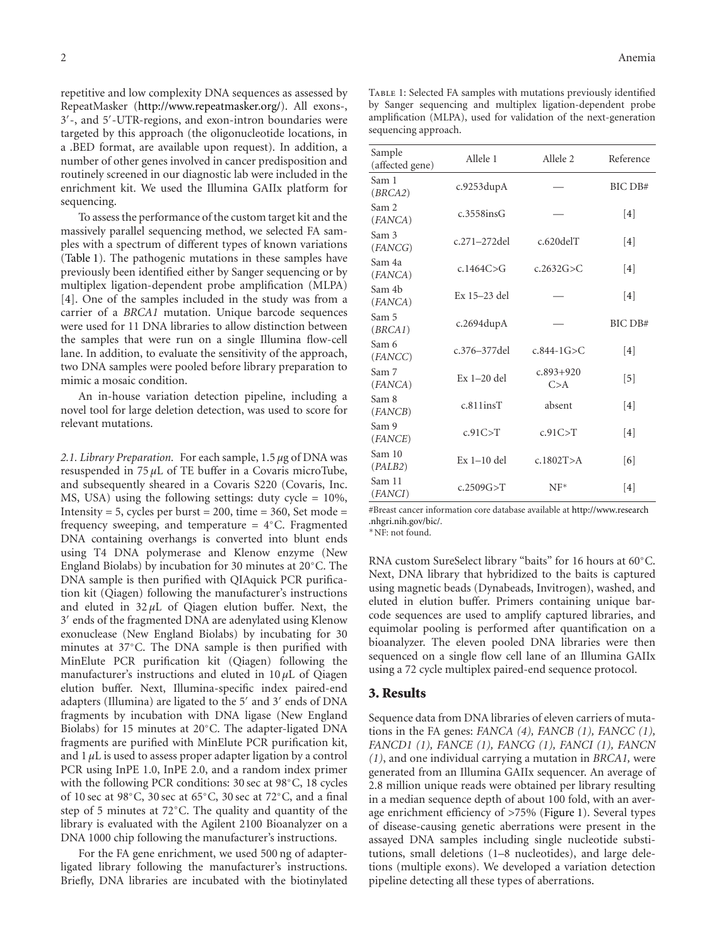repetitive and low complexity DNA sequences as assessed by RepeatMasker [\(http://www.repeatmasker.org/\)](http://www.repeatmasker.org/). All exons-, 3 -, and 5 -UTR-regions, and exon-intron boundaries were targeted by this approach (the oligonucleotide locations, in a .BED format, are available upon request). In addition, a number of other genes involved in cancer predisposition and routinely screened in our diagnostic lab were included in the enrichment kit. We used the Illumina GAIIx platform for sequencing.

To assess the performance of the custom target kit and the massively parallel sequencing method, we selected FA samples with a spectrum of different types of known variations [\(Table 1\)](#page-1-0). The pathogenic mutations in these samples have previously been identified either by Sanger sequencing or by multiplex ligation-dependent probe amplification (MLPA) [\[4](#page-6-4)]. One of the samples included in the study was from a carrier of a *BRCA1* mutation. Unique barcode sequences were used for 11 DNA libraries to allow distinction between the samples that were run on a single Illumina flow-cell lane. In addition, to evaluate the sensitivity of the approach, two DNA samples were pooled before library preparation to mimic a mosaic condition.

An in-house variation detection pipeline, including a novel tool for large deletion detection, was used to score for relevant mutations.

*2.1. Library Preparation.* For each sample, 1.5 *µ*g of DNA was resuspended in 75 *µ*L of TE buffer in a Covaris microTube, and subsequently sheared in a Covaris S220 (Covaris, Inc. MS, USA) using the following settings: duty cycle = 10%, Intensity = 5, cycles per burst =  $200$ , time =  $360$ , Set mode = frequency sweeping, and temperature =  $4°C$ . Fragmented DNA containing overhangs is converted into blunt ends using T4 DNA polymerase and Klenow enzyme (New England Biolabs) by incubation for 30 minutes at 20◦C. The DNA sample is then purified with QIAquick PCR purification kit (Qiagen) following the manufacturer's instructions and eluted in  $32 \mu L$  of Qiagen elution buffer. Next, the 3' ends of the fragmented DNA are adenylated using Klenow exonuclease (New England Biolabs) by incubating for 30 minutes at 37◦C. The DNA sample is then purified with MinElute PCR purification kit (Qiagen) following the manufacturer's instructions and eluted in 10 *µ*L of Qiagen elution buffer. Next, Illumina-specific index paired-end adapters (Illumina) are ligated to the 5' and 3' ends of DNA fragments by incubation with DNA ligase (New England Biolabs) for 15 minutes at 20◦C. The adapter-ligated DNA fragments are purified with MinElute PCR purification kit, and  $1 \mu$ L is used to assess proper adapter ligation by a control PCR using InPE 1.0, InPE 2.0, and a random index primer with the following PCR conditions: 30 sec at 98◦C, 18 cycles of 10 sec at 98◦C, 30 sec at 65◦C, 30 sec at 72◦C, and a final step of 5 minutes at 72◦C. The quality and quantity of the library is evaluated with the Agilent 2100 Bioanalyzer on a DNA 1000 chip following the manufacturer's instructions.

For the FA gene enrichment, we used 500 ng of adapterligated library following the manufacturer's instructions. Briefly, DNA libraries are incubated with the biotinylated

<span id="page-1-0"></span>TABLE 1: Selected FA samples with mutations previously identified by Sanger sequencing and multiplex ligation-dependent probe amplification (MLPA), used for validation of the next-generation sequencing approach.

| Sample<br>(affected gene) | Allele 1       | Allele 2               | Reference         |
|---------------------------|----------------|------------------------|-------------------|
| Sam 1<br>(BRCA2)          | c.9253dupA     |                        | BIC DB#           |
| Sam 2<br>(FANCA)          | $c.3558$ insG  |                        | $\lceil 4 \rceil$ |
| Sam 3<br>(FANCG)          | c.271-272del   | $c.620$ del $T$        | $\lceil 4 \rceil$ |
| Sam 4a<br>(FANCA)         | c.1464C > G    | c.2632G > C            | $\lceil 4 \rceil$ |
| Sam 4b<br>(FANCA)         | Ex 15–23 del   |                        | $\lceil 4 \rceil$ |
| Sam 5<br>(BRCA1)          | c.2694 $d$ upA |                        | BIC DB#           |
| Sam 6<br>(FANCC)          | c.376-377del   | $c.844 - 1$ G $>$ C    | $\lceil 4 \rceil$ |
| Sam 7<br>(FANCA)          | $Ex 1-20$ del  | $c.893 + 920$<br>C > A | $\lceil 5 \rceil$ |
| Sam 8<br>(FANCB)          | $c.811$ insT   | absent                 | $\lceil 4 \rceil$ |
| Sam 9<br>(FANCE)          | c.91C > T      | c.91C > T              | $\lceil 4 \rceil$ |
| Sam $10$<br>(PALB2)       | $Ex 1-10$ del  | c.1802T > A            | [6]               |
| Sam 11<br>(FANCI)         | c.2509G > T    | $NF^*$                 | $\lceil 4 \rceil$ |

#Breast cancer information core database available at [http://www.research](http://www.research.nhgri.nih.gov/bic/) [.nhgri.nih.gov/bic/.](http://www.research.nhgri.nih.gov/bic/)

<sup>∗</sup>NF: not found.

RNA custom SureSelect library "baits" for 16 hours at 60◦C. Next, DNA library that hybridized to the baits is captured using magnetic beads (Dynabeads, Invitrogen), washed, and eluted in elution buffer. Primers containing unique barcode sequences are used to amplify captured libraries, and equimolar pooling is performed after quantification on a bioanalyzer. The eleven pooled DNA libraries were then sequenced on a single flow cell lane of an Illumina GAIIx using a 72 cycle multiplex paired-end sequence protocol.

#### **3. Results**

Sequence data from DNA libraries of eleven carriers of mutations in the FA genes: *FANCA (4), FANCB (1), FANCC (1), FANCD1 (1), FANCE (1), FANCG (1), FANCI (1), FANCN (1)*, and one individual carrying a mutation in *BRCA1,* were generated from an Illumina GAIIx sequencer. An average of 2.8 million unique reads were obtained per library resulting in a median sequence depth of about 100 fold, with an average enrichment efficiency of *>*75% [\(Figure 1\)](#page-2-0). Several types of disease-causing genetic aberrations were present in the assayed DNA samples including single nucleotide substitutions, small deletions (1–8 nucleotides), and large deletions (multiple exons). We developed a variation detection pipeline detecting all these types of aberrations.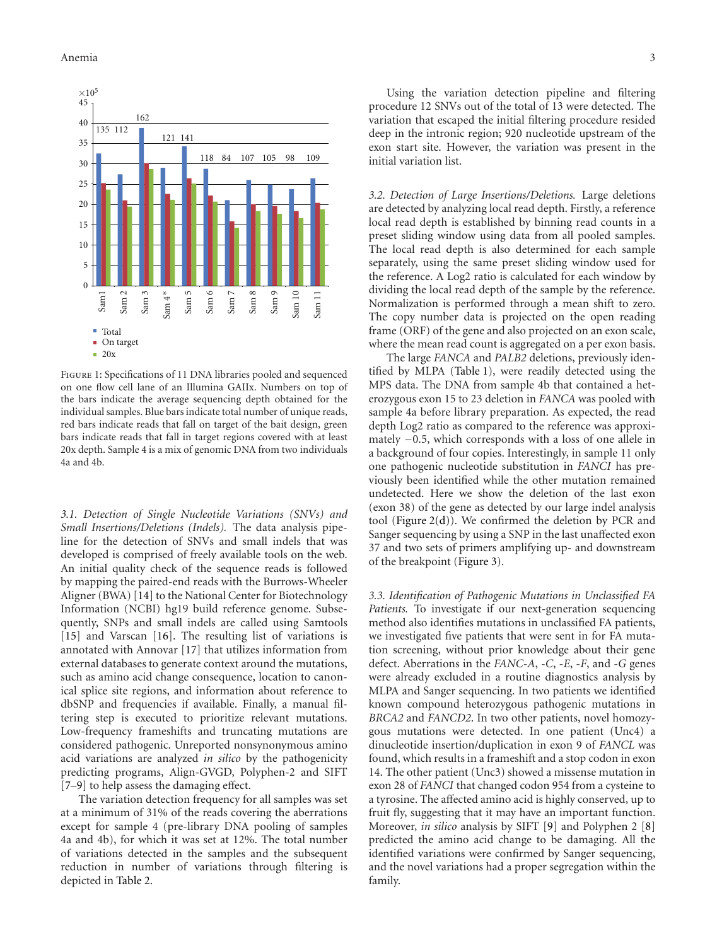#### Anemia 3



<span id="page-2-0"></span>Figure 1: Specifications of 11 DNA libraries pooled and sequenced on one flow cell lane of an Illumina GAIIx. Numbers on top of the bars indicate the average sequencing depth obtained for the individual samples. Blue bars indicate total number of unique reads, red bars indicate reads that fall on target of the bait design, green bars indicate reads that fall in target regions covered with at least 20x depth. Sample 4 is a mix of genomic DNA from two individuals 4a and 4b.

*3.1. Detection of Single Nucleotide Variations (SNVs) and Small Insertions/Deletions (Indels).* The data analysis pipeline for the detection of SNVs and small indels that was developed is comprised of freely available tools on the web. An initial quality check of the sequence reads is followed by mapping the paired-end reads with the Burrows-Wheeler Aligner (BWA) [\[14\]](#page-6-7) to the National Center for Biotechnology Information (NCBI) hg19 build reference genome. Subsequently, SNPs and small indels are called using Samtools [\[15\]](#page-6-8) and Varscan [\[16](#page-6-9)]. The resulting list of variations is annotated with Annovar [\[17\]](#page-6-10) that utilizes information from external databases to generate context around the mutations, such as amino acid change consequence, location to canonical splice site regions, and information about reference to dbSNP and frequencies if available. Finally, a manual filtering step is executed to prioritize relevant mutations. Low-frequency frameshifts and truncating mutations are considered pathogenic. Unreported nonsynonymous amino acid variations are analyzed *in silico* by the pathogenicity predicting programs, Align-GVGD, Polyphen-2 and SIFT [\[7](#page-6-11)[–9\]](#page-6-12) to help assess the damaging effect.

The variation detection frequency for all samples was set at a minimum of 31% of the reads covering the aberrations except for sample 4 (pre-library DNA pooling of samples 4a and 4b), for which it was set at 12%. The total number of variations detected in the samples and the subsequent reduction in number of variations through filtering is depicted in [Table 2.](#page-4-0)

Using the variation detection pipeline and filtering procedure 12 SNVs out of the total of 13 were detected. The variation that escaped the initial filtering procedure resided deep in the intronic region; 920 nucleotide upstream of the exon start site. However, the variation was present in the initial variation list.

*3.2. Detection of Large Insertions/Deletions.* Large deletions are detected by analyzing local read depth. Firstly, a reference local read depth is established by binning read counts in a preset sliding window using data from all pooled samples. The local read depth is also determined for each sample separately, using the same preset sliding window used for the reference. A Log2 ratio is calculated for each window by dividing the local read depth of the sample by the reference. Normalization is performed through a mean shift to zero. The copy number data is projected on the open reading frame (ORF) of the gene and also projected on an exon scale, where the mean read count is aggregated on a per exon basis.

The large *FANCA* and *PALB2* deletions, previously identified by MLPA [\(Table 1\)](#page-1-0), were readily detected using the MPS data. The DNA from sample 4b that contained a heterozygous exon 15 to 23 deletion in *FANCA* was pooled with sample 4a before library preparation. As expected, the read depth Log2 ratio as compared to the reference was approximately −0.5, which corresponds with a loss of one allele in a background of four copies. Interestingly, in sample 11 only one pathogenic nucleotide substitution in *FANCI* has previously been identified while the other mutation remained undetected. Here we show the deletion of the last exon (exon 38) of the gene as detected by our large indel analysis tool (Figure  $2(d)$ ). We confirmed the deletion by PCR and Sanger sequencing by using a SNP in the last unaffected exon 37 and two sets of primers amplifying up- and downstream of the breakpoint [\(Figure 3\)](#page-4-1).

*3.3. Identification of Pathogenic Mutations in Unclassified FA Patients.* To investigate if our next-generation sequencing method also identifies mutations in unclassified FA patients, we investigated five patients that were sent in for FA mutation screening, without prior knowledge about their gene defect. Aberrations in the *FANC-A*, -*C*, -*E*, -*F*, and -*G* genes were already excluded in a routine diagnostics analysis by MLPA and Sanger sequencing. In two patients we identified known compound heterozygous pathogenic mutations in *BRCA2* and *FANCD2*. In two other patients, novel homozygous mutations were detected. In one patient (Unc4) a dinucleotide insertion/duplication in exon 9 of *FANCL* was found, which results in a frameshift and a stop codon in exon 14. The other patient (Unc3) showed a missense mutation in exon 28 of *FANCI* that changed codon 954 from a cysteine to a tyrosine. The affected amino acid is highly conserved, up to fruit fly, suggesting that it may have an important function. Moreover, *in silico* analysis by SIFT [\[9](#page-6-12)] and Polyphen 2 [\[8](#page-6-13)] predicted the amino acid change to be damaging. All the identified variations were confirmed by Sanger sequencing, and the novel variations had a proper segregation within the family.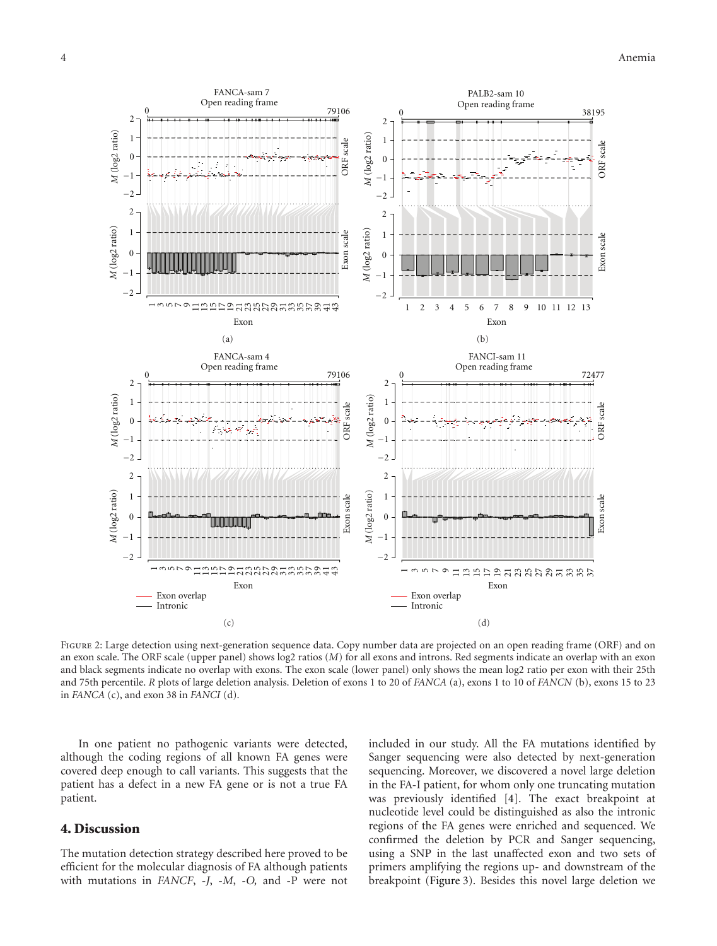

FIGURE 2: Large detection using next-generation sequence data. Copy number data are projected on an open reading frame (ORF) and on an exon scale. The ORF scale (upper panel) shows log2 ratios (*M*) for all exons and introns. Red segments indicate an overlap with an exon and black segments indicate no overlap with exons. The exon scale (lower panel) only shows the mean log2 ratio per exon with their 25th and 75th percentile. *R* plots of large deletion analysis. Deletion of exons 1 to 20 of *FANCA* (a), exons 1 to 10 of *FANCN* (b), exons 15 to 23 in *FANCA* (c), and exon 38 in *FANCI* (d).

In one patient no pathogenic variants were detected, although the coding regions of all known FA genes were covered deep enough to call variants. This suggests that the patient has a defect in a new FA gene or is not a true FA patient.

#### **4. Discussion**

The mutation detection strategy described here proved to be efficient for the molecular diagnosis of FA although patients with mutations in *FANCF*, *-J*, *-M*, *-O,* and -P were not <span id="page-3-0"></span>included in our study. All the FA mutations identified by Sanger sequencing were also detected by next-generation sequencing. Moreover, we discovered a novel large deletion in the FA-I patient, for whom only one truncating mutation was previously identified [\[4](#page-6-4)]. The exact breakpoint at nucleotide level could be distinguished as also the intronic regions of the FA genes were enriched and sequenced. We confirmed the deletion by PCR and Sanger sequencing, using a SNP in the last unaffected exon and two sets of primers amplifying the regions up- and downstream of the breakpoint [\(Figure 3\)](#page-4-1). Besides this novel large deletion we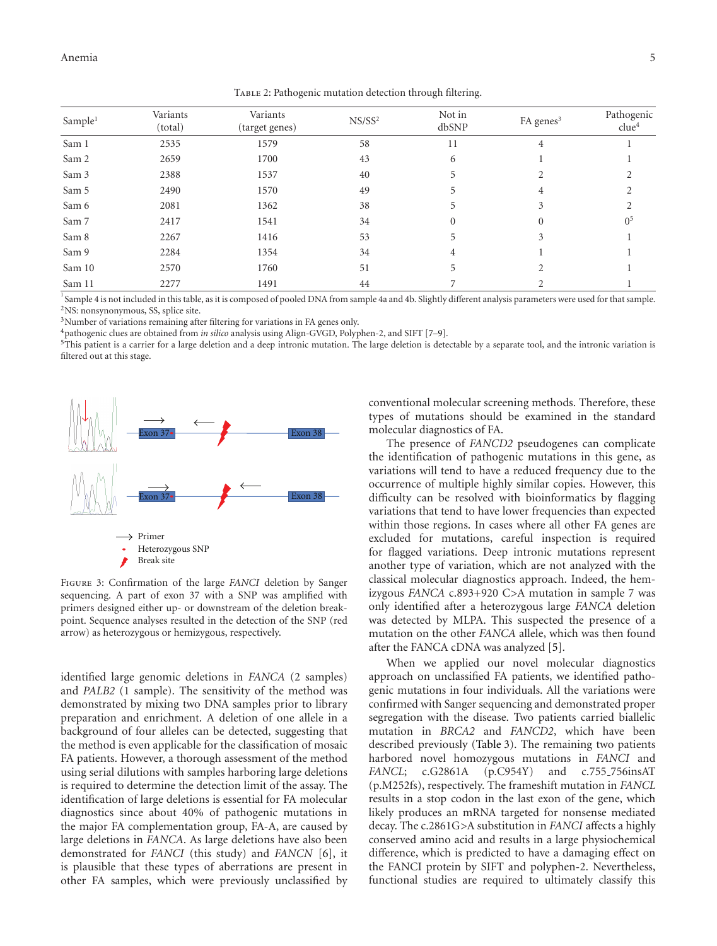#### Anemia 5

| Sample <sup>1</sup> | Variants<br>(total) | Variants<br>(target genes) | $NS/SS^2$ | Not in<br>dbSNP | FA genes <sup>3</sup> | Pathogenic<br>clue <sup>4</sup> |
|---------------------|---------------------|----------------------------|-----------|-----------------|-----------------------|---------------------------------|
| Sam 1               | 2535                | 1579                       | 58        | 11              | $\overline{4}$        |                                 |
| Sam 2               | 2659                | 1700                       | 43        | 6               |                       |                                 |
| Sam 3               | 2388                | 1537                       | 40        | 5               |                       |                                 |
| Sam 5               | 2490                | 1570                       | 49        | 5               | 4                     |                                 |
| Sam 6               | 2081                | 1362                       | 38        | 5               | 3                     |                                 |
| Sam 7               | 2417                | 1541                       | 34        | $\Omega$        | $\mathbf{0}$          | 0 <sup>5</sup>                  |
| Sam 8               | 2267                | 1416                       | 53        | 5               | 3                     |                                 |
| Sam 9               | 2284                | 1354                       | 34        | 4               |                       |                                 |
| Sam 10              | 2570                | 1760                       | 51        | 5               | $\mathfrak{D}$        |                                 |
| Sam 11              | 2277                | 1491                       | 44        |                 |                       |                                 |

<span id="page-4-0"></span>TABLE 2: Pathogenic mutation detection through filtering.

1 Sample 4 is not included in this table, as it is composed of pooled DNA from sample 4a and 4b. Slightly different analysis parameters were used for that sample. 2NS: nonsynonymous, SS, splice site.

<sup>3</sup>Number of variations remaining after filtering for variations in FA genes only.

4pathogenic clues are obtained from *in silico* analysis using Align-GVGD, Polyphen-2, and SIFT [\[7](#page-6-11)[–9](#page-6-12)].

 $5$ This patient is a carrier for a large deletion and a deep intronic mutation. The large deletion is detectable by a separate tool, and the intronic variation is filtered out at this stage.



<span id="page-4-1"></span>Figure 3: Confirmation of the large *FANCI* deletion by Sanger sequencing. A part of exon 37 with a SNP was amplified with primers designed either up- or downstream of the deletion breakpoint. Sequence analyses resulted in the detection of the SNP (red arrow) as heterozygous or hemizygous, respectively.

identified large genomic deletions in *FANCA* (2 samples) and *PALB2* (1 sample). The sensitivity of the method was demonstrated by mixing two DNA samples prior to library preparation and enrichment. A deletion of one allele in a background of four alleles can be detected, suggesting that the method is even applicable for the classification of mosaic FA patients. However, a thorough assessment of the method using serial dilutions with samples harboring large deletions is required to determine the detection limit of the assay. The identification of large deletions is essential for FA molecular diagnostics since about 40% of pathogenic mutations in the major FA complementation group, FA-A, are caused by large deletions in *FANCA*. As large deletions have also been demonstrated for *FANCI* (this study) and *FANCN* [\[6\]](#page-6-6), it is plausible that these types of aberrations are present in other FA samples, which were previously unclassified by conventional molecular screening methods. Therefore, these types of mutations should be examined in the standard molecular diagnostics of FA.

The presence of *FANCD2* pseudogenes can complicate the identification of pathogenic mutations in this gene, as variations will tend to have a reduced frequency due to the occurrence of multiple highly similar copies. However, this difficulty can be resolved with bioinformatics by flagging variations that tend to have lower frequencies than expected within those regions. In cases where all other FA genes are excluded for mutations, careful inspection is required for flagged variations. Deep intronic mutations represent another type of variation, which are not analyzed with the classical molecular diagnostics approach. Indeed, the hemizygous *FANCA* c.893+920 C*>*A mutation in sample 7 was only identified after a heterozygous large *FANCA* deletion was detected by MLPA. This suspected the presence of a mutation on the other *FANCA* allele, which was then found after the FANCA cDNA was analyzed [\[5](#page-6-5)].

When we applied our novel molecular diagnostics approach on unclassified FA patients, we identified pathogenic mutations in four individuals. All the variations were confirmed with Sanger sequencing and demonstrated proper segregation with the disease. Two patients carried biallelic mutation in *BRCA2* and *FANCD2*, which have been described previously [\(Table 3\)](#page-5-0). The remaining two patients harbored novel homozygous mutations in *FANCI* and *FANCL*; c.G2861A (p.C954Y) and c.755 756insAT (p.M252fs), respectively. The frameshift mutation in *FANCL* results in a stop codon in the last exon of the gene, which likely produces an mRNA targeted for nonsense mediated decay. The c.2861G*>*A substitution in *FANCI* affects a highly conserved amino acid and results in a large physiochemical difference, which is predicted to have a damaging effect on the FANCI protein by SIFT and polyphen-2. Nevertheless, functional studies are required to ultimately classify this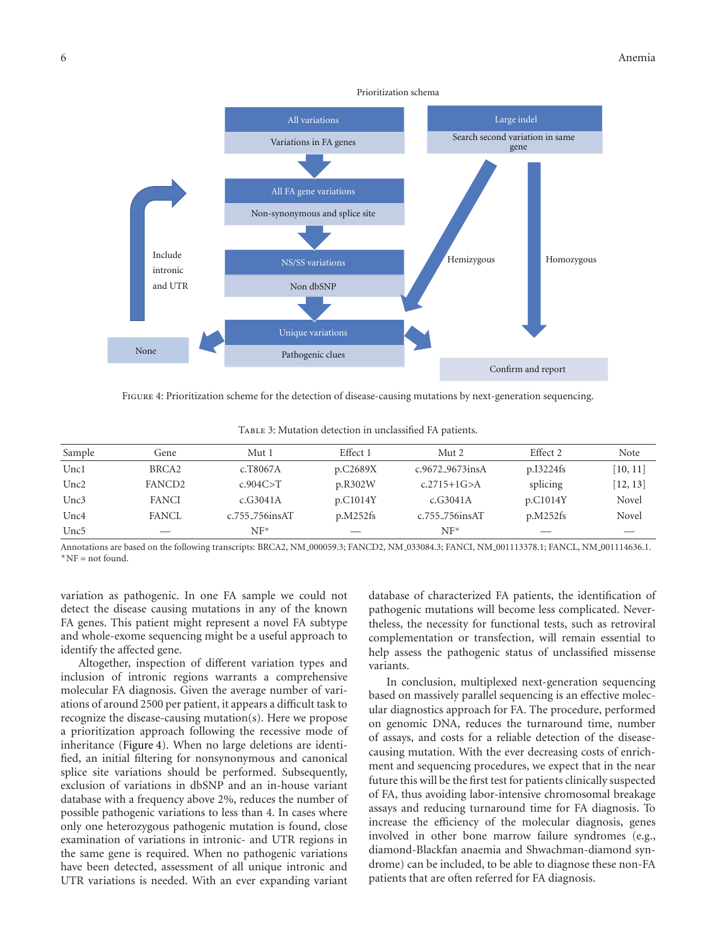



<span id="page-5-1"></span>Figure 4: Prioritization scheme for the detection of disease-causing mutations by next-generation sequencing.

<span id="page-5-0"></span>TABLE 3: Mutation detection in unclassified FA patients.

| Sample | Gene               | Mut 1          | Effect 1 | $M$ ut 2        | Effect 2  | Note     |
|--------|--------------------|----------------|----------|-----------------|-----------|----------|
| Unc1   | BRCA <sub>2</sub>  | c.T8067A       | p.C2689X | c.9672_9673insA | p.I3224fs | [10, 11] |
| Unc2   | FANCD <sub>2</sub> | c.904C > T     | p.R302W  | $c.2715+1G > A$ | splicing  | [12, 13] |
| Unc3   | <b>FANCI</b>       | c.G3041A       | p.C1014Y | c.G3041A        | p.C1014Y  | Novel    |
| Unc4   | <b>FANCL</b>       | c.755_756insAT | p.M252fs | c.755_756insAT  | p.M252fs  | Novel    |
| Unc5   |                    | $NF^*$         |          | $NF^*$          |           |          |

Annotations are based on the following transcripts: BRCA2, NM\_000059.3; FANCD2, NM\_033084.3; FANCI, NM\_001113378.1; FANCL, NM\_001114636.1. <sup>∗</sup>NF = not found.

variation as pathogenic. In one FA sample we could not detect the disease causing mutations in any of the known FA genes. This patient might represent a novel FA subtype and whole-exome sequencing might be a useful approach to identify the affected gene.

Altogether, inspection of different variation types and inclusion of intronic regions warrants a comprehensive molecular FA diagnosis. Given the average number of variations of around 2500 per patient, it appears a difficult task to recognize the disease-causing mutation(s). Here we propose a prioritization approach following the recessive mode of inheritance [\(Figure 4\)](#page-5-1). When no large deletions are identified, an initial filtering for nonsynonymous and canonical splice site variations should be performed. Subsequently, exclusion of variations in dbSNP and an in-house variant database with a frequency above 2%, reduces the number of possible pathogenic variations to less than 4. In cases where only one heterozygous pathogenic mutation is found, close examination of variations in intronic- and UTR regions in the same gene is required. When no pathogenic variations have been detected, assessment of all unique intronic and UTR variations is needed. With an ever expanding variant database of characterized FA patients, the identification of pathogenic mutations will become less complicated. Nevertheless, the necessity for functional tests, such as retroviral complementation or transfection, will remain essential to help assess the pathogenic status of unclassified missense variants.

In conclusion, multiplexed next-generation sequencing based on massively parallel sequencing is an effective molecular diagnostics approach for FA. The procedure, performed on genomic DNA, reduces the turnaround time, number of assays, and costs for a reliable detection of the diseasecausing mutation. With the ever decreasing costs of enrichment and sequencing procedures, we expect that in the near future this will be the first test for patients clinically suspected of FA, thus avoiding labor-intensive chromosomal breakage assays and reducing turnaround time for FA diagnosis. To increase the efficiency of the molecular diagnosis, genes involved in other bone marrow failure syndromes (e.g., diamond-Blackfan anaemia and Shwachman-diamond syndrome) can be included, to be able to diagnose these non-FA patients that are often referred for FA diagnosis.